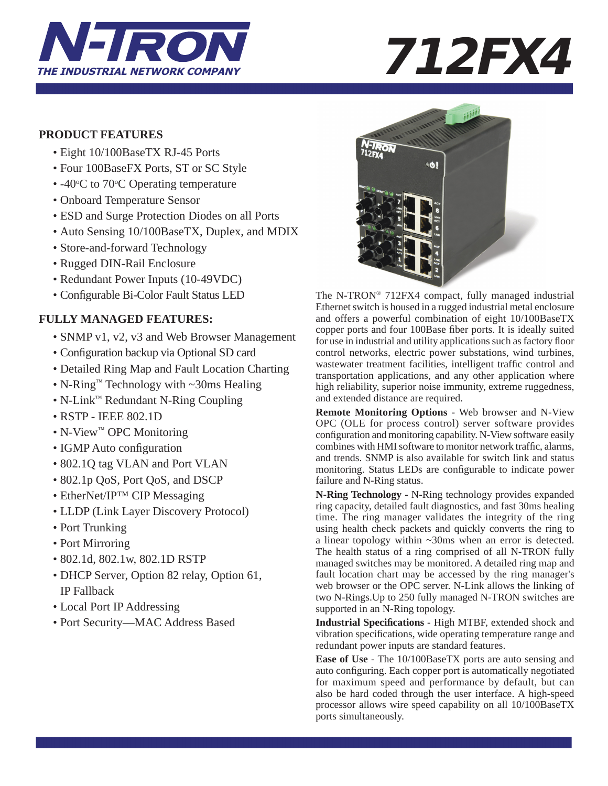

### **PRODUCT FEATURES**

- Eight 10/100BaseTX RJ-45 Ports
- Four 100BaseFX Ports, ST or SC Style
- $-40$ °C to 70°C Operating temperature
	- Onboard Temperature Sensor
	- ESD and Surge Protection Diodes on all Ports
	- Auto Sensing 10/100BaseTX, Duplex, and MDIX
	- Store-and-forward Technology
	- Rugged DIN-Rail Enclosure
	- Redundant Power Inputs (10-49VDC)
	- Configurable Bi-Color Fault Status LED

## **FULLY MANAGED FEATURES:**

- SNMP v1, v2, v3 and Web Browser Management
- Configuration backup via Optional SD card
- Detailed Ring Map and Fault Location Charting
- N-Ring™ Technology with ~30ms Healing
- N-Link™ Redundant N-Ring Coupling
- RSTP IEEE 802.1D
- N-View™ OPC Monitoring
- IGMP Auto configuration
- 802.1Q tag VLAN and Port VLAN
- 802.1p QoS, Port QoS, and DSCP
- EtherNet/IP<sup>TM</sup> CIP Messaging
- LLDP (Link Layer Discovery Protocol)
- Port Trunking
- Port Mirroring
- 802.1d, 802.1w, 802.1D RSTP
- DHCP Server, Option 82 relay, Option 61, IP Fallback
- Local Port IP Addressing
- Port Security—MAC Address Based



The N-TRON® 712FX4 compact, fully managed industrial Ethernet switch is housed in a rugged industrial metal enclosure and offers a powerful combination of eight 10/100BaseTX copper ports and four 100Base fiber ports. It is ideally suited for use in industrial and utility applications such as factory floor control networks, electric power substations, wind turbines, wastewater treatment facilities, intelligent traffic control and transportation applications, and any other application where high reliability, superior noise immunity, extreme ruggedness, and extended distance are required.

**Remote Monitoring Options** - Web browser and N-View OPC (OLE for process control) server software provides configuration and monitoring capability. N-View software easily combines with HMI software to monitor network traffic, alarms, and trends. SNMP is also available for switch link and status monitoring. Status LEDs are configurable to indicate power failure and N-Ring status.

**N-Ring Technology** - N-Ring technology provides expanded ring capacity, detailed fault diagnostics, and fast 30ms healing time. The ring manager validates the integrity of the ring using health check packets and quickly converts the ring to a linear topology within ~30ms when an error is detected. The health status of a ring comprised of all N-TRON fully managed switches may be monitored. A detailed ring map and fault location chart may be accessed by the ring manager's web browser or the OPC server. N-Link allows the linking of two N-Rings.Up to 250 fully managed N-TRON switches are supported in an N-Ring topology.

**Industrial Specifi cations** - High MTBF, extended shock and vibration specifications, wide operating temperature range and redundant power inputs are standard features.

**Ease of Use** - The 10/100BaseTX ports are auto sensing and auto configuring. Each copper port is automatically negotiated for maximum speed and performance by default, but can also be hard coded through the user interface. A high-speed processor allows wire speed capability on all 10/100BaseTX ports simultaneously.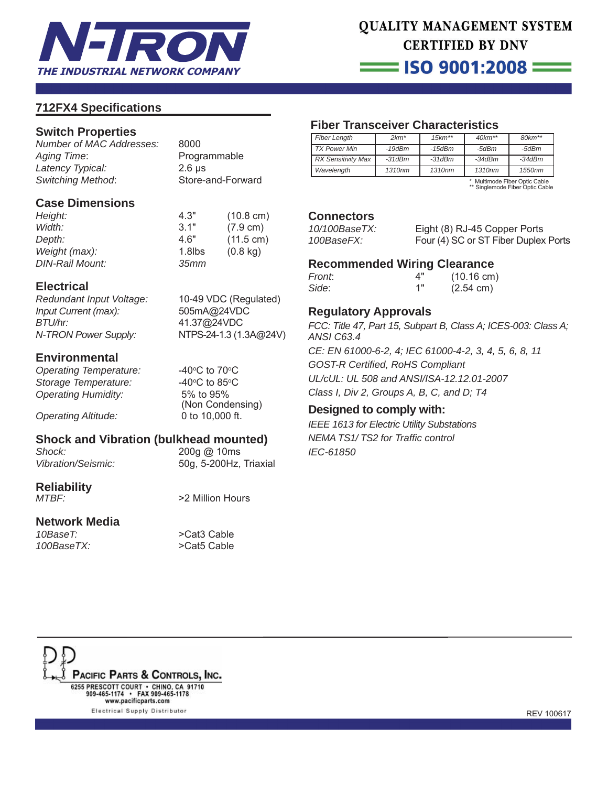

# QUALITY MANAGEMENT SYSTEM **CERTIFIED BY DNV**

 $\equiv$  ISO 9001:2008  $\equiv$ 

### **712FX4 Specifi cations**

### **Switch Properties**

*Number of MAC Addresses:* 8000 *Aging Time*: Programmable *Latency Typical:* 2.6 μs *Switching Method*: Store-and-Forward

### **Case Dimensions**

*Height:* 4.3" (10.8 cm) *Width:* 3.1" (7.9 cm) *Depth:* 4.6" (11.5 cm) *Weight (max):* 1.8lbs (0.8 kg) *DIN-Rail Mount: 35mm*

### **Electrical**

*Redundant Input Voltage:* 10-49 VDC (Regulated) *Input Current (max):* 505mA@24VDC *BTU/hr:* 41.37@24VDC *N-TRON Power Supply:* NTPS-24-1.3 (1.3A**@**24V)

**Environmental**

**Operating Temperature: Storage Temperature:** *Operating Humidity:* 5% to 95%

*Operating Altitude:* 0 to 10,000 ft.

C to  $70^{\circ}$ C C to 85 $\rm ^{\circ}$ C (Non Condensing)

### **Shock and Vibration (bulkhead mounted)**

*Shock:* 200g @ 10ms

*Vibration/Seismic:* 50g, 5-200Hz, Triaxial

# **Reliability**

**Network Media**

*10BaseT:* >Cat3 Cable *100BaseTX:* >Cat5 Cable

>2 Million Hours

# **Fiber Transceiver Characteristics**

| <b>Fiber Length</b>       | $2km*$             | $15km**$           | $40km**$           | $80 km**$          |
|---------------------------|--------------------|--------------------|--------------------|--------------------|
| <b>TX Power Min</b>       | $-19$ d $Bm$       | $-15$ d $Bm$       | -5dBm              | -5dBm              |
| <b>RX Sensitivity Max</b> | $-31dBm$           | $-31dBm$           | $-34dBm$           | $-34dBm$           |
| Wavelength                | 1310 <sub>nm</sub> | 1310 <sub>nm</sub> | 1310 <sub>nm</sub> | 1550 <sub>nm</sub> |

\* Multimode Fiber Optic Cable \*\* Singlemode Fiber Optic Cable

### **Connectors**

| 10/100BaseTX: | Eight (8) RJ-45 Copper Ports         |
|---------------|--------------------------------------|
| 100BaseFX:    | Four (4) SC or ST Fiber Duplex Ports |

### **Recommended Wiring Clearance**

| Front. | Δ" | $(10.16 \text{ cm})$ |
|--------|----|----------------------|
| Side:  | 1" | $(2.54 \text{ cm})$  |

### **Regulatory Approvals**

*FCC: Title 47, Part 15, Subpart B, Class A; ICES-003: Class A; ANSI C63.4*

*CE: EN 61000-6-2, 4; IEC 61000-4-2, 3, 4, 5, 6, 8, 11 GOST-R Certifi ed, RoHS Compliant UL/cUL: UL 508 and ANSI/ISA-12.12.01-2007 Class I, Div 2, Groups A, B, C, and D; T4*

### **Designed to comply with:**

*IEEE 1613 for Electric Utility Substations NEMA TS1/ TS2 for Traffi c control IEC-61850*

PACIFIC PARTS & CONTROLS, INC. 6255 PRESCOTT COURT · CHINO, CA 91710 909-465-1174 • FAX 909-465-1178<br>www.pacificparts.com Electrical Supply Distributor